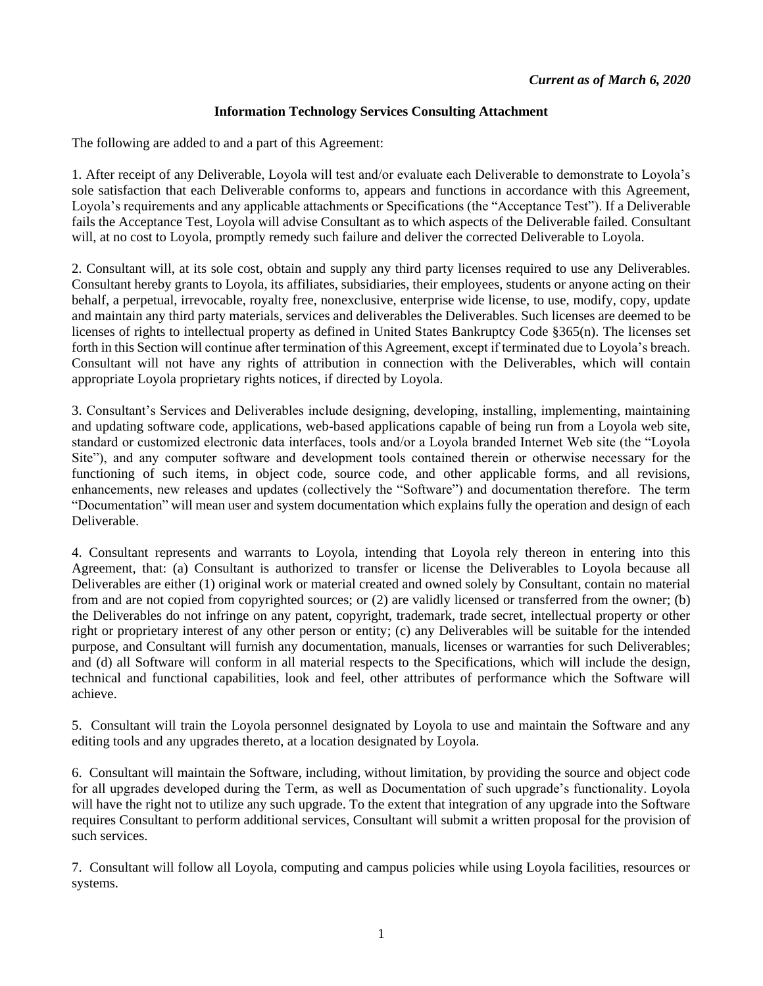## **Information Technology Services Consulting Attachment**

The following are added to and a part of this Agreement:

1. After receipt of any Deliverable, Loyola will test and/or evaluate each Deliverable to demonstrate to Loyola's sole satisfaction that each Deliverable conforms to, appears and functions in accordance with this Agreement, Loyola's requirements and any applicable attachments or Specifications (the "Acceptance Test"). If a Deliverable fails the Acceptance Test, Loyola will advise Consultant as to which aspects of the Deliverable failed. Consultant will, at no cost to Loyola, promptly remedy such failure and deliver the corrected Deliverable to Loyola.

2. Consultant will, at its sole cost, obtain and supply any third party licenses required to use any Deliverables. Consultant hereby grants to Loyola, its affiliates, subsidiaries, their employees, students or anyone acting on their behalf, a perpetual, irrevocable, royalty free, nonexclusive, enterprise wide license, to use, modify, copy, update and maintain any third party materials, services and deliverables the Deliverables. Such licenses are deemed to be licenses of rights to intellectual property as defined in United States Bankruptcy Code §365(n). The licenses set forth in this Section will continue after termination of this Agreement, except if terminated due to Loyola's breach. Consultant will not have any rights of attribution in connection with the Deliverables, which will contain appropriate Loyola proprietary rights notices, if directed by Loyola.

3. Consultant's Services and Deliverables include designing, developing, installing, implementing, maintaining and updating software code, applications, web-based applications capable of being run from a Loyola web site, standard or customized electronic data interfaces, tools and/or a Loyola branded Internet Web site (the "Loyola Site"), and any computer software and development tools contained therein or otherwise necessary for the functioning of such items, in object code, source code, and other applicable forms, and all revisions, enhancements, new releases and updates (collectively the "Software") and documentation therefore. The term "Documentation" will mean user and system documentation which explains fully the operation and design of each Deliverable.

4. Consultant represents and warrants to Loyola, intending that Loyola rely thereon in entering into this Agreement, that: (a) Consultant is authorized to transfer or license the Deliverables to Loyola because all Deliverables are either (1) original work or material created and owned solely by Consultant, contain no material from and are not copied from copyrighted sources; or (2) are validly licensed or transferred from the owner; (b) the Deliverables do not infringe on any patent, copyright, trademark, trade secret, intellectual property or other right or proprietary interest of any other person or entity; (c) any Deliverables will be suitable for the intended purpose, and Consultant will furnish any documentation, manuals, licenses or warranties for such Deliverables; and (d) all Software will conform in all material respects to the Specifications, which will include the design, technical and functional capabilities, look and feel, other attributes of performance which the Software will achieve.

5. Consultant will train the Loyola personnel designated by Loyola to use and maintain the Software and any editing tools and any upgrades thereto, at a location designated by Loyola.

6. Consultant will maintain the Software, including, without limitation, by providing the source and object code for all upgrades developed during the Term, as well as Documentation of such upgrade's functionality. Loyola will have the right not to utilize any such upgrade. To the extent that integration of any upgrade into the Software requires Consultant to perform additional services, Consultant will submit a written proposal for the provision of such services.

7. Consultant will follow all Loyola, computing and campus policies while using Loyola facilities, resources or systems.